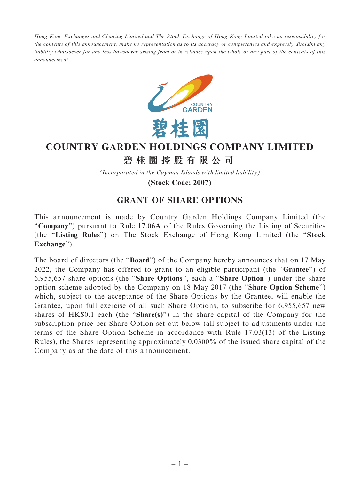Hong Kong Exchanges and Clearing Limited and The Stock Exchange of Hong Kong Limited take no responsibility for the contents of this announcement, make no representation as to its accuracy or completeness and expressly disclaim any liability whatsoever for any loss howsoever arising from or in reliance upon the whole or any part of the contents of this announcement.



## **COUNTRY GARDEN HOLDINGS COMPANY LIMITED**

## **碧桂園控股有限公司**

*(Incorporated in the Cayman Islands with limited liability)*

**(Stock Code: 2007)**

## GRANT OF SHARE OPTIONS

This announcement is made by Country Garden Holdings Company Limited (the ''Company'') pursuant to Rule 17.06A of the Rules Governing the Listing of Securities (the ''Listing Rules'') on The Stock Exchange of Hong Kong Limited (the ''Stock Exchange").

The board of directors (the "**Board**") of the Company hereby announces that on 17 May 2022, the Company has offered to grant to an eligible participant (the ''Grantee'') of 6,955,657 share options (the ''Share Options'', each a ''Share Option'') under the share option scheme adopted by the Company on 18 May 2017 (the ''Share Option Scheme'') which, subject to the acceptance of the Share Options by the Grantee, will enable the Grantee, upon full exercise of all such Share Options, to subscribe for 6,955,657 new shares of  $HK$0.1$  each (the "Share(s)") in the share capital of the Company for the subscription price per Share Option set out below (all subject to adjustments under the terms of the Share Option Scheme in accordance with Rule 17.03(13) of the Listing Rules), the Shares representing approximately 0.0300% of the issued share capital of the Company as at the date of this announcement.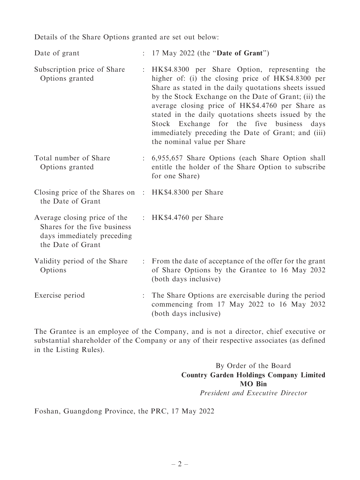Details of the Share Options granted are set out below:

Date of grant : 17 May 2022 (the "Date of Grant")

- Subscription price of Share Options granted : HK\$4.8300 per Share Option, representing the higher of: (i) the closing price of HK\$4.8300 per Share as stated in the daily quotations sheets issued by the Stock Exchange on the Date of Grant; (ii) the average closing price of HK\$4.4760 per Share as stated in the daily quotations sheets issued by the Stock Exchange for the five business days immediately preceding the Date of Grant; and (iii) the nominal value per Share
- Total number of Share Options granted : 6,955,657 Share Options (each Share Option shall entitle the holder of the Share Option to subscribe for one Share)

| Closing price of the Shares on : HK\$4.8300 per Share<br>the Date of Grant                                      |                                                                                                                                     |
|-----------------------------------------------------------------------------------------------------------------|-------------------------------------------------------------------------------------------------------------------------------------|
| Average closing price of the<br>Shares for the five business<br>days immediately preceding<br>the Date of Grant | : HK\$4.4760 per Share                                                                                                              |
| Validity period of the Share<br>Options                                                                         | : From the date of acceptance of the offer for the grant<br>of Share Options by the Grantee to 16 May 2032<br>(both days inclusive) |
| Exercise period                                                                                                 | : The Share Options are exercisable during the period<br>commencing from 17 May 2022 to 16 May 2032                                 |

The Grantee is an employee of the Company, and is not a director, chief executive or substantial shareholder of the Company or any of their respective associates (as defined in the Listing Rules).

(both days inclusive)

By Order of the Board Country Garden Holdings Company Limited MO Bin President and Executive Director

Foshan, Guangdong Province, the PRC, 17 May 2022